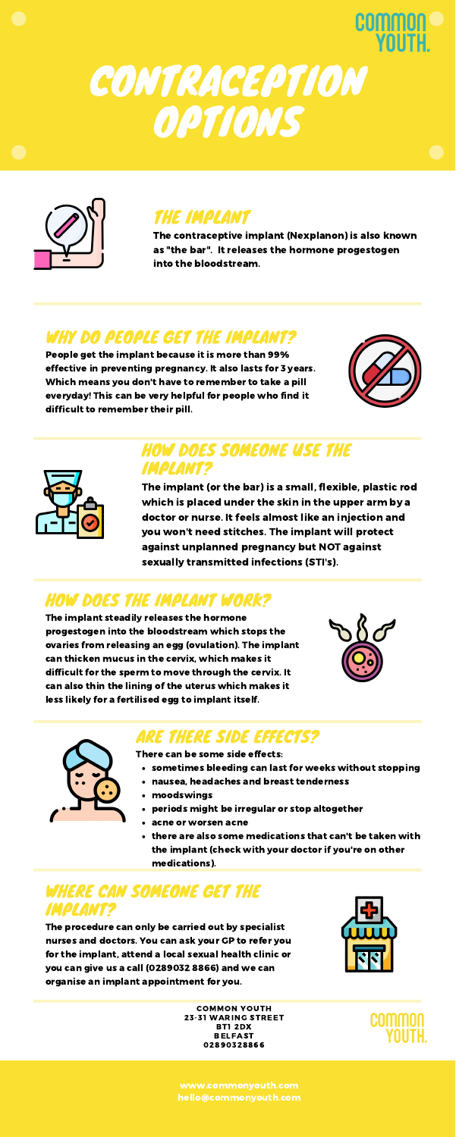## **COMMON**

## CONTRACEPTION **OPTIONS**



## THE IMPLANT

The contraceptive implant (Nexplanon) is also known as "the bar". It releases the hormone progestogen into the bloodstream.

#### WHY DO PEOPLE GET THE IMPLANT?

People get the implant because it is more than 99% effective in preventing pregnancy. It also lasts for 3 years. Which means you don't have to remember to take a pill everyday! This can be very helpful for people who find it difficult to remember their pill.





### HOW DOES SOMEONE USE THE IMPLANT?

The implant (or the bar) is a small, flexible, plastic rod which is placed under the skin in the upper arm by a doctor or nurse. It feels almost like an injection and you won't need stitches. The implant will protect against unplanned pregnancy but NOT against sexually transmitted infections (STI's).

- sometimes bleeding can last for weeks without stopping
- nausea, headaches and breast tenderness
- moodswings
- periods might be irregular or stop altogether
- acne or worsen acne
- there are also some medications that can't be taken with the implant (check with your doctor if you're on other medications).

## HOW DOES THE IMPLANT WORK?

The implant steadily releases the hormone progestogen into the bloodstream which stops the ovaries from releasing an egg (ovulation). The implant can thicken mucus in the cervix, which makes it difficult for the sperm to move through the cervix. It



can also thin the lining of the uterus which makes it less likely for a fertilised egg to implant itself.



#### ARE THERE SIDE EFFECTS?

There can be some side effects:

#### WHERE CAN SOMEONE GET THE IMPLANT?

The procedure can only be carried out by specialist nurses and doctors. You can ask your GP to refer you for the implant, attend a local sexual health clinic or you can give us a call (0289032 8866) and we can organise an implant appointment for you.



COMMON YOUTH 23-31 WARING STREET BT1 2DX BELFAST 02890328866



www.commonyouth.com hello@commonyouth.com